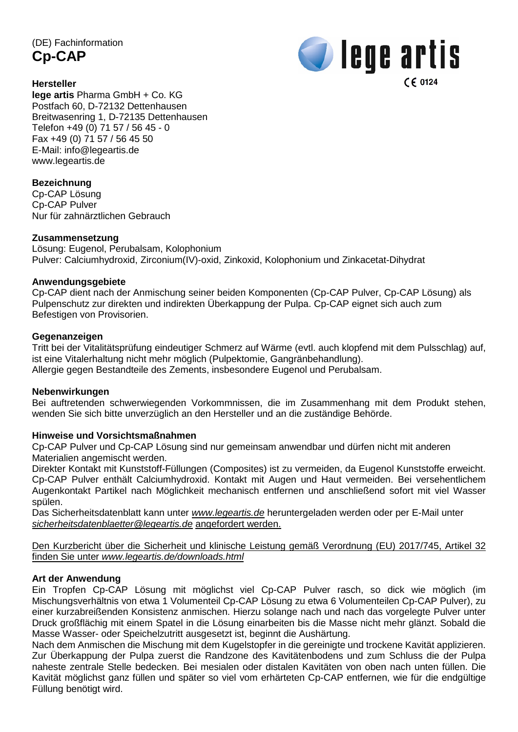(DE) Fachinformation **Cp-CAP**

**U** lege artis  $C \epsilon$  0124

#### **Hersteller**

**lege artis** Pharma GmbH + Co. KG Postfach 60, D-72132 Dettenhausen Breitwasenring 1, D-72135 Dettenhausen Telefon +49 (0) 71 57 / 56 45 - 0 Fax +49 (0) 71 57 / 56 45 50 E-Mail: [info@legeartis.de](mailto:info@legeartis.de) www.legeartis.de

# **Bezeichnung**

Cp-CAP Lösung Cp-CAP Pulver Nur für zahnärztlichen Gebrauch

# **Zusammensetzung**

Lösung: Eugenol, Perubalsam, Kolophonium Pulver: Calciumhydroxid, Zirconium(IV)-oxid, Zinkoxid, Kolophonium und Zinkacetat-Dihydrat

# **Anwendungsgebiete**

Cp-CAP dient nach der Anmischung seiner beiden Komponenten (Cp-CAP Pulver, Cp-CAP Lösung) als Pulpenschutz zur direkten und indirekten Überkappung der Pulpa. Cp-CAP eignet sich auch zum Befestigen von Provisorien.

#### **Gegenanzeigen**

Tritt bei der Vitalitätsprüfung eindeutiger Schmerz auf Wärme (evtl. auch klopfend mit dem Pulsschlag) auf, ist eine Vitalerhaltung nicht mehr möglich (Pulpektomie, Gangränbehandlung). Allergie gegen Bestandteile des Zements, insbesondere Eugenol und Perubalsam.

#### **Nebenwirkungen**

Bei auftretenden schwerwiegenden Vorkommnissen, die im Zusammenhang mit dem Produkt stehen, wenden Sie sich bitte unverzüglich an den Hersteller und an die zuständige Behörde.

# **Hinweise und Vorsichtsmaßnahmen**

Cp-CAP Pulver und Cp-CAP Lösung sind nur gemeinsam anwendbar und dürfen nicht mit anderen Materialien angemischt werden.

Direkter Kontakt mit Kunststoff-Füllungen (Composites) ist zu vermeiden, da Eugenol Kunststoffe erweicht. Cp-CAP Pulver enthält Calciumhydroxid. Kontakt mit Augen und Haut vermeiden. Bei versehentlichem Augenkontakt Partikel nach Möglichkeit mechanisch entfernen und anschließend sofort mit viel Wasser spülen.

Das Sicherheitsdatenblatt kann unter *[www.legeartis.de](http://www.legeartis.de/)* heruntergeladen werden oder per E-Mail unter *[sicherheitsdatenblaetter@legeartis.de](mailto:sicherheitsdatenblaetter@legeartis.de)* angefordert werden.

Den Kurzbericht über die Sicherheit und klinische Leistung gemäß Verordnung (EU) 2017/745, Artikel 32 finden Sie unter *www.legeartis.de/downloads.html*

# **Art der Anwendung**

Ein Tropfen Cp-CAP Lösung mit möglichst viel Cp-CAP Pulver rasch, so dick wie möglich (im Mischungsverhältnis von etwa 1 Volumenteil Cp-CAP Lösung zu etwa 6 Volumenteilen Cp-CAP Pulver), zu einer kurzabreißenden Konsistenz anmischen. Hierzu solange nach und nach das vorgelegte Pulver unter Druck großflächig mit einem Spatel in die Lösung einarbeiten bis die Masse nicht mehr glänzt. Sobald die Masse Wasser- oder Speichelzutritt ausgesetzt ist, beginnt die Aushärtung.

Nach dem Anmischen die Mischung mit dem Kugelstopfer in die gereinigte und trockene Kavität applizieren. Zur Überkappung der Pulpa zuerst die Randzone des Kavitätenbodens und zum Schluss die der Pulpa naheste zentrale Stelle bedecken. Bei mesialen oder distalen Kavitäten von oben nach unten füllen. Die Kavität möglichst ganz füllen und später so viel vom erhärteten Cp-CAP entfernen, wie für die endgültige Füllung benötigt wird.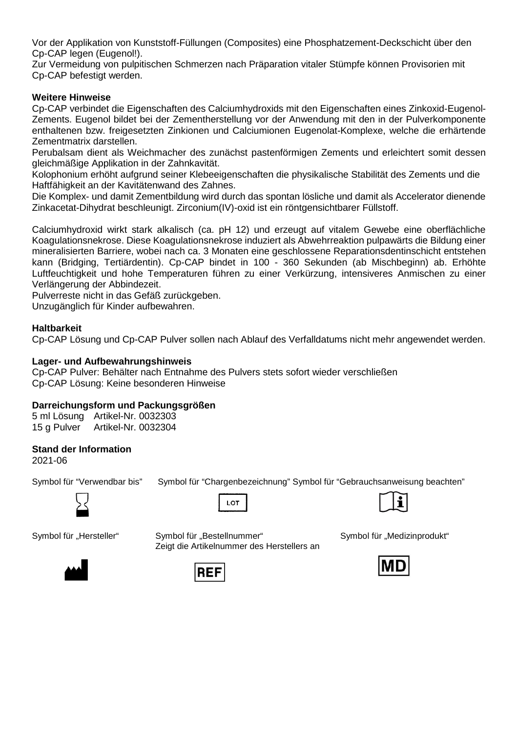Vor der Applikation von Kunststoff-Füllungen (Composites) eine Phosphatzement-Deckschicht über den Cp-CAP legen (Eugenol!).

Zur Vermeidung von pulpitischen Schmerzen nach Präparation vitaler Stümpfe können Provisorien mit Cp-CAP befestigt werden.

#### **Weitere Hinweise**

Cp-CAP verbindet die Eigenschaften des Calciumhydroxids mit den Eigenschaften eines Zinkoxid-Eugenol-Zements. Eugenol bildet bei der Zementherstellung vor der Anwendung mit den in der Pulverkomponente enthaltenen bzw. freigesetzten Zinkionen und Calciumionen Eugenolat-Komplexe, welche die erhärtende Zementmatrix darstellen.

Perubalsam dient als Weichmacher des zunächst pastenförmigen Zements und erleichtert somit dessen gleichmäßige Applikation in der Zahnkavität.

Kolophonium erhöht aufgrund seiner Klebeeigenschaften die physikalische Stabilität des Zements und die Haftfähigkeit an der Kavitätenwand des Zahnes.

Die Komplex- und damit Zementbildung wird durch das spontan lösliche und damit als Accelerator dienende Zinkacetat-Dihydrat beschleunigt. Zirconium(IV)-oxid ist ein röntgensichtbarer Füllstoff.

Calciumhydroxid wirkt stark alkalisch (ca. pH 12) und erzeugt auf vitalem Gewebe eine oberflächliche Koagulationsnekrose. Diese Koagulationsnekrose induziert als Abwehrreaktion pulpawärts die Bildung einer mineralisierten Barriere, wobei nach ca. 3 Monaten eine geschlossene Reparationsdentinschicht entstehen kann (Bridging, Tertiärdentin). Cp-CAP bindet in 100 - 360 Sekunden (ab Mischbeginn) ab. Erhöhte Luftfeuchtigkeit und hohe Temperaturen führen zu einer Verkürzung, intensiveres Anmischen zu einer Verlängerung der Abbindezeit.

Pulverreste nicht in das Gefäß zurückgeben.

Unzugänglich für Kinder aufbewahren.

#### **Haltbarkeit**

Cp-CAP Lösung und Cp-CAP Pulver sollen nach Ablauf des Verfalldatums nicht mehr angewendet werden.

#### **Lager- und Aufbewahrungshinweis**

Cp-CAP Pulver: Behälter nach Entnahme des Pulvers stets sofort wieder verschließen Cp-CAP Lösung: Keine besonderen Hinweise

#### **Darreichungsform und Packungsgrößen**

5 ml Lösung Artikel-Nr. 0032303 15 g Pulver Artikel-Nr. 0032304

#### **Stand der Information**

2021-06

Symbol für "Verwendbar bis" Symbol für "Chargenbezeichnung" Symbol für "Gebrauchsanweisung beachten"



LOT



Symbol für "Hersteller" Symbol für "Bestellnummer" Symbol für "Medizinprodukt" Zeigt die Artikelnummer des Herstellers an





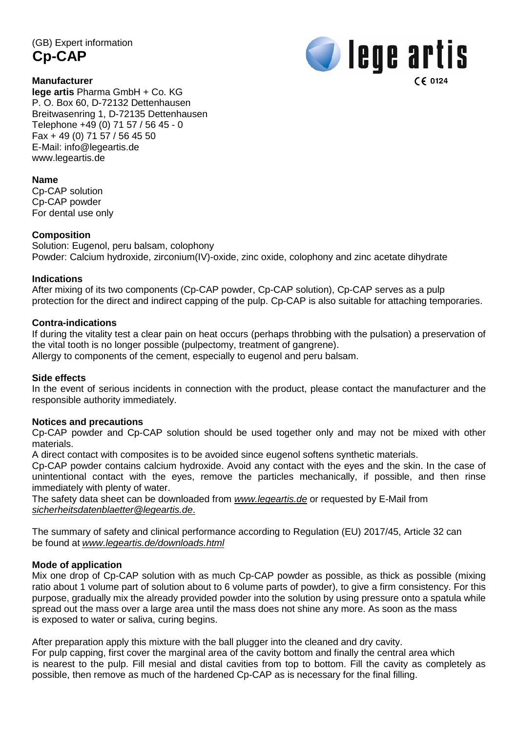(GB) Expert information **Cp-CAP**





**lege artis** Pharma GmbH + Co. KG P. O. Box 60, D-72132 Dettenhausen Breitwasenring 1, D-72135 Dettenhausen Telephone +49 (0) 71 57 / 56 45 - 0 Fax + 49 (0) 71 57 / 56 45 50 E-Mail: [info@legeartis.de](mailto:info@legeartis.de) www.legeartis.de

#### **Name**

Cp-CAP solution Cp-CAP powder For dental use only

#### **Composition**

Solution: Eugenol, peru balsam, colophony Powder: Calcium hydroxide, zirconium(IV)-oxide, zinc oxide, colophony and zinc acetate dihydrate

#### **Indications**

After mixing of its two components (Cp-CAP powder, Cp-CAP solution), Cp-CAP serves as a pulp protection for the direct and indirect capping of the pulp. Cp-CAP is also suitable for attaching temporaries.

#### **Contra-indications**

If during the vitality test a clear pain on heat occurs (perhaps throbbing with the pulsation) a preservation of the vital tooth is no longer possible (pulpectomy, treatment of gangrene). Allergy to components of the cement, especially to eugenol and peru balsam.

#### **Side effects**

In the event of serious incidents in connection with the product, please contact the manufacturer and the responsible authority immediately.

#### **Notices and precautions**

Cp-CAP powder and Cp-CAP solution should be used together only and may not be mixed with other materials.

A direct contact with composites is to be avoided since eugenol softens synthetic materials.

Cp-CAP powder contains calcium hydroxide. Avoid any contact with the eyes and the skin. In the case of unintentional contact with the eyes, remove the particles mechanically, if possible, and then rinse immediately with plenty of water.

The safety data sheet can be downloaded from *[www.legeartis.de](http://www.legeartis.de/)* or requested by E-Mail from *[sicherheitsdatenblaetter@legeartis.de](mailto:sicherheitsdatenblaetter@legeartis.de)*.

The summary of safety and clinical performance according to Regulation (EU) 2017/45, Article 32 can be found at *www.legeartis.de/downloads.html*

#### **Mode of application**

Mix one drop of Cp-CAP solution with as much Cp-CAP powder as possible, as thick as possible (mixing ratio about 1 volume part of solution about to 6 volume parts of powder), to give a firm consistency. For this purpose, gradually mix the already provided powder into the solution by using pressure onto a spatula while spread out the mass over a large area until the mass does not shine any more. As soon as the mass is exposed to water or saliva, curing begins.

After preparation apply this mixture with the ball plugger into the cleaned and dry cavity.

For pulp capping, first cover the marginal area of the cavity bottom and finally the central area which is nearest to the pulp. Fill mesial and distal cavities from top to bottom. Fill the cavity as completely as possible, then remove as much of the hardened Cp-CAP as is necessary for the final filling.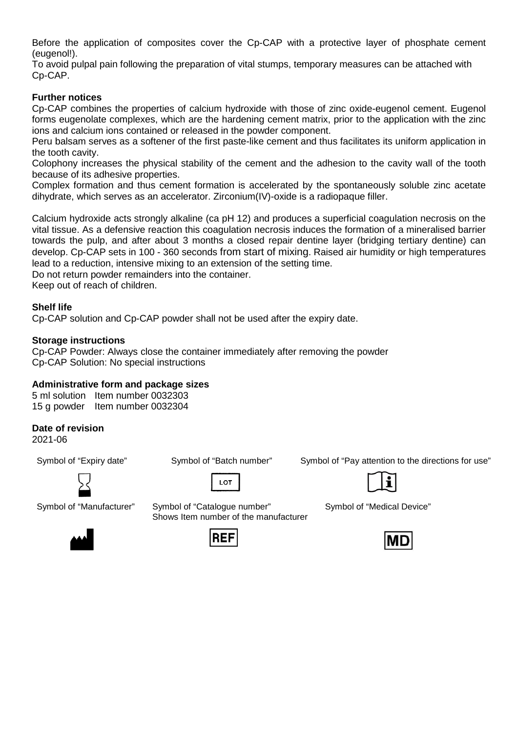Before the application of composites cover the Cp-CAP with a protective layer of phosphate cement (eugenol!).

To avoid pulpal pain following the preparation of vital stumps, temporary measures can be attached with Cp-CAP.

#### **Further notices**

Cp-CAP combines the properties of calcium hydroxide with those of zinc oxide-eugenol cement. Eugenol forms eugenolate complexes, which are the hardening cement matrix, prior to the application with the zinc ions and calcium ions contained or released in the powder component.

Peru balsam serves as a softener of the first paste-like cement and thus facilitates its uniform application in the tooth cavity.

Colophony increases the physical stability of the cement and the adhesion to the cavity wall of the tooth because of its adhesive properties.

Complex formation and thus cement formation is accelerated by the spontaneously soluble zinc acetate dihydrate, which serves as an accelerator. Zirconium(IV)-oxide is a radiopaque filler.

Calcium hydroxide acts strongly alkaline (ca pH 12) and produces a superficial coagulation necrosis on the vital tissue. As a defensive reaction this coagulation necrosis induces the formation of a mineralised barrier towards the pulp, and after about 3 months a closed repair dentine layer (bridging tertiary dentine) can develop. Cp-CAP sets in 100 - 360 seconds from start of mixing. Raised air humidity or high temperatures lead to a reduction, intensive mixing to an extension of the setting time.

Do not return powder remainders into the container.

Keep out of reach of children.

#### **Shelf life**

Cp-CAP solution and Cp-CAP powder shall not be used after the expiry date.

#### **Storage instructions**

Cp-CAP Powder: Always close the container immediately after removing the powder Cp-CAP Solution: No special instructions

#### **Administrative form and package sizes**

5 ml solution Item number 0032303 15 g powder Item number 0032304

#### **Date of revision**

2021-06



LOT



 $\mathbf i$ 



Symbol of "Medical Device"





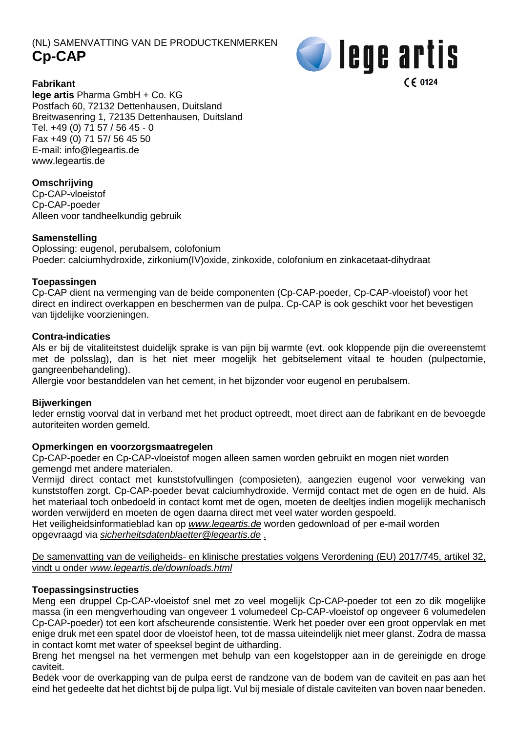# (NL) SAMENVATTING VAN DE PRODUCTKENMERKEN **Cp-CAP**



**Fabrikant**

**lege artis** Pharma GmbH + Co. KG Postfach 60, 72132 Dettenhausen, Duitsland Breitwasenring 1, 72135 Dettenhausen, Duitsland Tel. +49 (0) 71 57 / 56 45 - 0 Fax +49 (0) 71 57/ 56 45 50 E-mail: [info@legeartis.de](mailto:info@legeartis.de) www.legeartis.de

# **Omschrijving**

Cp-CAP-vloeistof Cp-CAP-poeder Alleen voor tandheelkundig gebruik

# **Samenstelling**

Oplossing: eugenol, perubalsem, colofonium Poeder: calciumhydroxide, zirkonium(IV)oxide, zinkoxide, colofonium en zinkacetaat-dihydraat

# **Toepassingen**

Cp-CAP dient na vermenging van de beide componenten (Cp-CAP-poeder, Cp-CAP-vloeistof) voor het direct en indirect overkappen en beschermen van de pulpa. Cp-CAP is ook geschikt voor het bevestigen van tijdelijke voorzieningen.

# **Contra-indicaties**

Als er bij de vitaliteitstest duidelijk sprake is van pijn bij warmte (evt. ook kloppende pijn die overeenstemt met de polsslag), dan is het niet meer mogelijk het gebitselement vitaal te houden (pulpectomie, gangreenbehandeling).

Allergie voor bestanddelen van het cement, in het bijzonder voor eugenol en perubalsem.

# **Bijwerkingen**

Ieder ernstig voorval dat in verband met het product optreedt, moet direct aan de fabrikant en de bevoegde autoriteiten worden gemeld.

# **Opmerkingen en voorzorgsmaatregelen**

Cp-CAP-poeder en Cp-CAP-vloeistof mogen alleen samen worden gebruikt en mogen niet worden gemengd met andere materialen.

Vermijd direct contact met kunststofvullingen (composieten), aangezien eugenol voor verweking van kunststoffen zorgt. Cp-CAP-poeder bevat calciumhydroxide. Vermijd contact met de ogen en de huid. Als het materiaal toch onbedoeld in contact komt met de ogen, moeten de deeltjes indien mogelijk mechanisch worden verwijderd en moeten de ogen daarna direct met veel water worden gespoeld.

Het veiligheidsinformatieblad kan op *[www.legeartis.de](http://www.legeartis.de/)* worden gedownload of per e-mail worden opgevraagd via *[sicherheitsdatenblaetter@legeartis.de](mailto:sicherheitsdatenblaetter@legeartis.de)* .

De samenvatting van de veiligheids- en klinische prestaties volgens Verordening (EU) 2017/745, artikel 32, vindt u onder *www.legeartis.de/downloads.html*

# **Toepassingsinstructies**

Meng een druppel Cp-CAP-vloeistof snel met zo veel mogelijk Cp-CAP-poeder tot een zo dik mogelijke massa (in een mengverhouding van ongeveer 1 volumedeel Cp-CAP-vloeistof op ongeveer 6 volumedelen Cp-CAP-poeder) tot een kort afscheurende consistentie. Werk het poeder over een groot oppervlak en met enige druk met een spatel door de vloeistof heen, tot de massa uiteindelijk niet meer glanst. Zodra de massa in contact komt met water of speeksel begint de uitharding.

Breng het mengsel na het vermengen met behulp van een kogelstopper aan in de gereinigde en droge caviteit.

Bedek voor de overkapping van de pulpa eerst de randzone van de bodem van de caviteit en pas aan het eind het gedeelte dat het dichtst bij de pulpa ligt. Vul bij mesiale of distale caviteiten van boven naar beneden.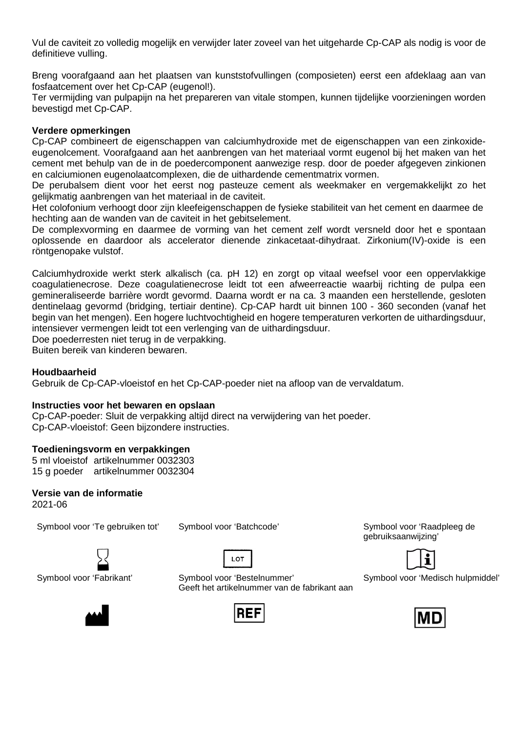Vul de caviteit zo volledig mogelijk en verwijder later zoveel van het uitgeharde Cp-CAP als nodig is voor de definitieve vulling.

Breng voorafgaand aan het plaatsen van kunststofvullingen (composieten) eerst een afdeklaag aan van fosfaatcement over het Cp-CAP (eugenol!).

Ter vermijding van pulpapijn na het prepareren van vitale stompen, kunnen tijdelijke voorzieningen worden bevestigd met Cp-CAP.

#### **Verdere opmerkingen**

Cp-CAP combineert de eigenschappen van calciumhydroxide met de eigenschappen van een zinkoxideeugenolcement. Voorafgaand aan het aanbrengen van het materiaal vormt eugenol bij het maken van het cement met behulp van de in de poedercomponent aanwezige resp. door de poeder afgegeven zinkionen en calciumionen eugenolaatcomplexen, die de uithardende cementmatrix vormen.

De perubalsem dient voor het eerst nog pasteuze cement als weekmaker en vergemakkelijkt zo het gelijkmatig aanbrengen van het materiaal in de caviteit.

Het colofonium verhoogt door zijn kleefeigenschappen de fysieke stabiliteit van het cement en daarmee de hechting aan de wanden van de caviteit in het gebitselement.

De complexvorming en daarmee de vorming van het cement zelf wordt versneld door het e spontaan oplossende en daardoor als accelerator dienende zinkacetaat-dihydraat. Zirkonium(IV)-oxide is een röntgenopake vulstof.

Calciumhydroxide werkt sterk alkalisch (ca. pH 12) en zorgt op vitaal weefsel voor een oppervlakkige coagulatienecrose. Deze coagulatienecrose leidt tot een afweerreactie waarbij richting de pulpa een gemineraliseerde barrière wordt gevormd. Daarna wordt er na ca. 3 maanden een herstellende, gesloten dentinelaag gevormd (bridging, tertiair dentine). Cp-CAP hardt uit binnen 100 - 360 seconden (vanaf het begin van het mengen). Een hogere luchtvochtigheid en hogere temperaturen verkorten de uithardingsduur, intensiever vermengen leidt tot een verlenging van de uithardingsduur.

Doe poederresten niet terug in de verpakking.

Buiten bereik van kinderen bewaren.

#### **Houdbaarheid**

Gebruik de Cp-CAP-vloeistof en het Cp-CAP-poeder niet na afloop van de vervaldatum.

#### **Instructies voor het bewaren en opslaan**

Cp-CAP-poeder: Sluit de verpakking altijd direct na verwijdering van het poeder. Cp-CAP-vloeistof: Geen bijzondere instructies.

#### **Toedieningsvorm en verpakkingen**

5 ml vloeistof artikelnummer 0032303 15 g poeder artikelnummer 0032304

#### **Versie van de informatie**

2021-06

Symbool voor 'Te gebruiken tot' Symbool voor 'Batchcode' Symbool voor 'Raadpleeg de







Symbool voor 'Fabrikant' Symbool voor 'Bestelnummer' Geeft het artikelnummer van de fabrikant aan



gebruiksaanwijzing'



Symbool voor 'Medisch hulpmiddel'

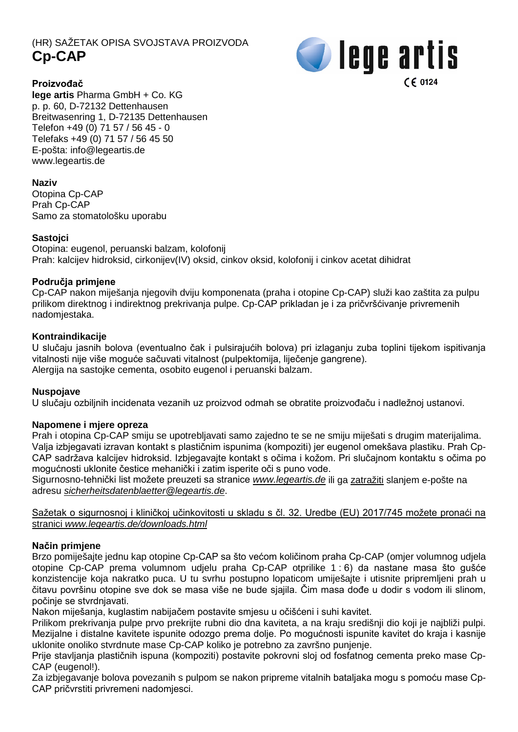# (HR) SAŽETAK OPISA SVOJSTAVA PROIZVODA **Cp-CAP**



# **Proizvođač**

**lege artis** Pharma GmbH + Co. KG p. p. 60, D-72132 Dettenhausen Breitwasenring 1, D-72135 Dettenhausen Telefon +49 (0) 71 57 / 56 45 - 0 Telefaks +49 (0) 71 57 / 56 45 50 E-pošta: [info@legeartis.de](mailto:info@legeartis.de) www.legeartis.de

# **Naziv**

Otopina Cp-CAP Prah Cp-CAP Samo za stomatološku uporabu

# **Sastojci**

Otopina: eugenol, peruanski balzam, kolofonij Prah: kalcijev hidroksid, cirkonijev(IV) oksid, cinkov oksid, kolofonij i cinkov acetat dihidrat

# **Područja primjene**

Cp-CAP nakon miješanja njegovih dviju komponenata (praha i otopine Cp-CAP) služi kao zaštita za pulpu prilikom direktnog i indirektnog prekrivanja pulpe. Cp-CAP prikladan je i za pričvršćivanje privremenih nadomjestaka.

# **Kontraindikacije**

U slučaju jasnih bolova (eventualno čak i pulsirajućih bolova) pri izlaganju zuba toplini tijekom ispitivanja vitalnosti nije više moguće sačuvati vitalnost (pulpektomija, liječenje gangrene). Alergija na sastojke cementa, osobito eugenol i peruanski balzam.

# **Nuspojave**

U slučaju ozbiljnih incidenata vezanih uz proizvod odmah se obratite proizvođaču i nadležnoj ustanovi.

# **Napomene i mjere opreza**

Prah i otopina Cp-CAP smiju se upotrebljavati samo zajedno te se ne smiju miješati s drugim materijalima. Valja izbjegavati izravan kontakt s plastičnim ispunima (kompoziti) jer eugenol omekšava plastiku. Prah Cp-CAP sadržava kalcijev hidroksid. Izbjegavajte kontakt s očima i kožom. Pri slučajnom kontaktu s očima po mogućnosti uklonite čestice mehanički i zatim isperite oči s puno vode.

Sigurnosno-tehnički list možete preuzeti sa stranice *[www.legeartis.de](http://www.legeartis.de/)* ili ga zatražiti slanjem e-pošte na adresu *[sicherheitsdatenblaetter@legeartis.de](mailto:sicherheitsdatenblaetter@legeartis.de)*.

Sažetak o sigurnosnoj i kliničkoj učinkovitosti u skladu s čl. 32. Uredbe (EU) 2017/745 možete pronaći na stranici *www.legeartis.de/downloads.html*

# **Način primjene**

Brzo pomiješajte jednu kap otopine Cp-CAP sa što većom količinom praha Cp-CAP (omjer volumnog udjela otopine Cp-CAP prema volumnom udjelu praha Cp-CAP otprilike 1 : 6) da nastane masa što gušće konzistencije koja nakratko puca. U tu svrhu postupno lopaticom umiješajte i utisnite pripremljeni prah u čitavu površinu otopine sve dok se masa više ne bude sjajila. Čim masa dođe u dodir s vodom ili slinom, počinje se stvrdnjavati.

Nakon miješanja, kuglastim nabijačem postavite smjesu u očišćeni i suhi kavitet.

Prilikom prekrivanja pulpe prvo prekrijte rubni dio dna kaviteta, a na kraju središnji dio koji je najbliži pulpi. Mezijalne i distalne kavitete ispunite odozgo prema dolje. Po mogućnosti ispunite kavitet do kraja i kasnije uklonite onoliko stvrdnute mase Cp-CAP koliko je potrebno za završno punjenje.

Prije stavljanja plastičnih ispuna (kompoziti) postavite pokrovni sloj od fosfatnog cementa preko mase Cp-CAP (eugenol!).

Za izbjegavanje bolova povezanih s pulpom se nakon pripreme vitalnih bataljaka mogu s pomoću mase Cp-CAP pričvrstiti privremeni nadomjesci.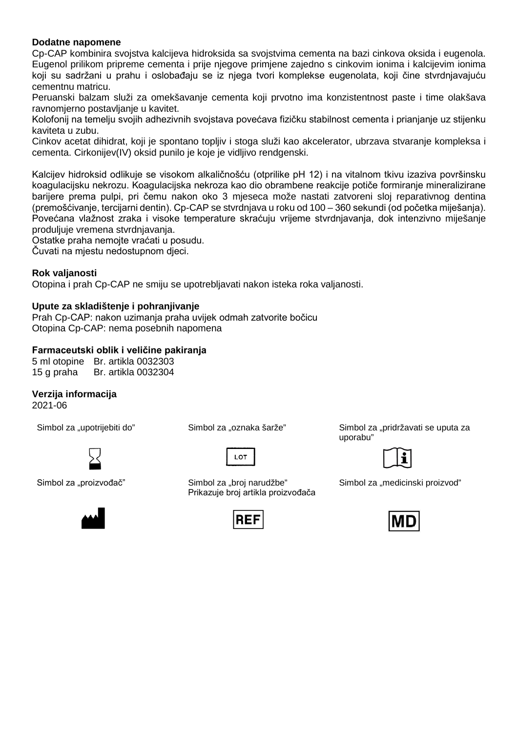#### **Dodatne napomene**

Cp-CAP kombinira svojstva kalcijeva hidroksida sa svojstvima cementa na bazi cinkova oksida i eugenola. Eugenol prilikom pripreme cementa i prije njegove primjene zajedno s cinkovim ionima i kalcijevim ionima koji su sadržani u prahu i oslobađaju se iz njega tvori komplekse eugenolata, koji čine stvrdnjavajuću cementnu matricu.

Peruanski balzam služi za omekšavanje cementa koji prvotno ima konzistentnost paste i time olakšava ravnomjerno postavljanje u kavitet.

Kolofonij na temelju svojih adhezivnih svojstava povećava fizičku stabilnost cementa i prianjanje uz stijenku kaviteta u zubu.

Cinkov acetat dihidrat, koji je spontano topljiv i stoga služi kao akcelerator, ubrzava stvaranje kompleksa i cementa. Cirkonijev(IV) oksid punilo je koje je vidljivo rendgenski.

Kalcijev hidroksid odlikuje se visokom alkaličnošću (otprilike pH 12) i na vitalnom tkivu izaziva površinsku koagulacijsku nekrozu. Koagulacijska nekroza kao dio obrambene reakcije potiče formiranje mineralizirane barijere prema pulpi, pri čemu nakon oko 3 mjeseca može nastati zatvoreni sloj reparativnog dentina (premošćivanje, tercijarni dentin). Cp-CAP se stvrdnjava u roku od 100 – 360 sekundi (od početka miješanja). Povećana vlažnost zraka i visoke temperature skraćuju vrijeme stvrdnjavanja, dok intenzivno miješanje produljuje vremena stvrdnjavanja.

Ostatke praha nemojte vraćati u posudu.

Čuvati na mjestu nedostupnom djeci.

# **Rok valjanosti**

Otopina i prah Cp-CAP ne smiju se upotrebljavati nakon isteka roka valjanosti.

#### **Upute za skladištenje i pohranjivanje**

Prah Cp-CAP: nakon uzimanja praha uvijek odmah zatvorite bočicu Otopina Cp-CAP: nema posebnih napomena

# **Farmaceutski oblik i veličine pakiranja**

5 ml otopine Br. artikla 0032303 15 g praha Br. artikla 0032304

# **Verzija informacija**

2021-06





Simbol za "proizvođač" Simbol za "broj narudžbe" Prikazuje broj artikla proizvođača



Simbol za "upotrijebiti do" Simbol za "oznaka šarže" Simbol za "pridržavati se uputa za uporabu"



Simbol za "medicinski proizvod"

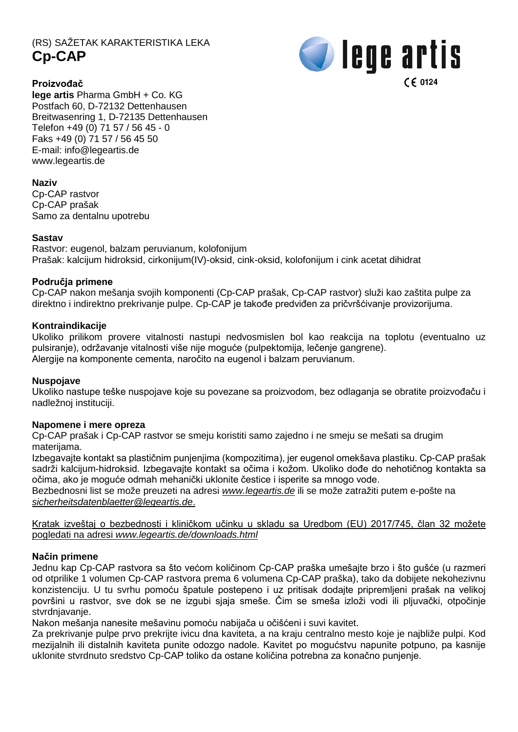# (RS) SAŽETAK KARAKTERISTIKA LEKA **Cp-CAP**



# **Proizvođač**

**lege artis** Pharma GmbH + Co. KG Postfach 60, D-72132 Dettenhausen Breitwasenring 1, D-72135 Dettenhausen Telefon +49 (0) 71 57 / 56 45 - 0 Faks +49 (0) 71 57 / 56 45 50 E-mail: [info@legeartis.de](mailto:info@legeartis.de) www.legeartis.de

# **Naziv**

Cp-CAP rastvor Cp-CAP prašak Samo za dentalnu upotrebu

# **Sastav**

Rastvor: eugenol, balzam peruvianum, kolofonijum Prašak: kalcijum hidroksid, cirkonijum(IV)-oksid, cink-oksid, kolofonijum i cink acetat dihidrat

# **Područja primene**

Cp-CAP nakon mešanja svojih komponenti (Cp-CAP prašak, Cp-CAP rastvor) služi kao zaštita pulpe za direktno i indirektno prekrivanje pulpe. Cp-CAP je takođe predviđen za pričvršćivanje provizorijuma.

# **Kontraindikacije**

Ukoliko prilikom provere vitalnosti nastupi nedvosmislen bol kao reakcija na toplotu (eventualno uz pulsiranje), održavanje vitalnosti više nije moguće (pulpektomija, lečenje gangrene). Alergije na komponente cementa, naročito na eugenol i balzam peruvianum.

#### **Nuspojave**

Ukoliko nastupe teške nuspojave koje su povezane sa proizvodom, bez odlaganja se obratite proizvođaču i nadležnoj instituciji.

#### **Napomene i mere opreza**

Cp-CAP prašak i Cp-CAP rastvor se smeju koristiti samo zajedno i ne smeju se mešati sa drugim materijama.

Izbegavajte kontakt sa plastičnim punjenjima (kompozitima), jer eugenol omekšava plastiku. Cp-CAP prašak sadrži kalcijum-hidroksid. Izbegavajte kontakt sa očima i kožom. Ukoliko dođe do nehotičnog kontakta sa očima, ako je moguće odmah mehanički uklonite čestice i isperite sa mnogo vode.

Bezbednosni list se može preuzeti na adresi *[www.legeartis.de](http://www.legeartis.de/)* ili se može zatražiti putem e-pošte na *[sicherheitsdatenblaetter@legeartis.de](mailto:sicherheitsdatenblaetter@legeartis.de)*.

Kratak izveštaj o bezbednosti i kliničkom učinku u skladu sa Uredbom (EU) 2017/745, član 32 možete pogledati na adresi *www.legeartis.de/downloads.html*

# **Način primene**

Jednu kap Cp-CAP rastvora sa što većom količinom Cp-CAP praška umešajte brzo i što gušće (u razmeri od otprilike 1 volumen Cp-CAP rastvora prema 6 volumena Cp-CAP praška), tako da dobijete nekohezivnu konzistenciju. U tu svrhu pomoću špatule postepeno i uz pritisak dodajte pripremljeni prašak na velikoj površini u rastvor, sve dok se ne izgubi sjaja smeše. Čim se smeša izloži vodi ili pljuvački, otpočinje stvrdnjavanje.

Nakon mešanja nanesite mešavinu pomoću nabijača u očišćeni i suvi kavitet.

Za prekrivanje pulpe prvo prekrijte ivicu dna kaviteta, a na kraju centralno mesto koje je najbliže pulpi. Kod mezijalnih ili distalnih kaviteta punite odozgo nadole. Kavitet po mogućstvu napunite potpuno, pa kasnije uklonite stvrdnuto sredstvo Cp-CAP toliko da ostane količina potrebna za konačno punjenje.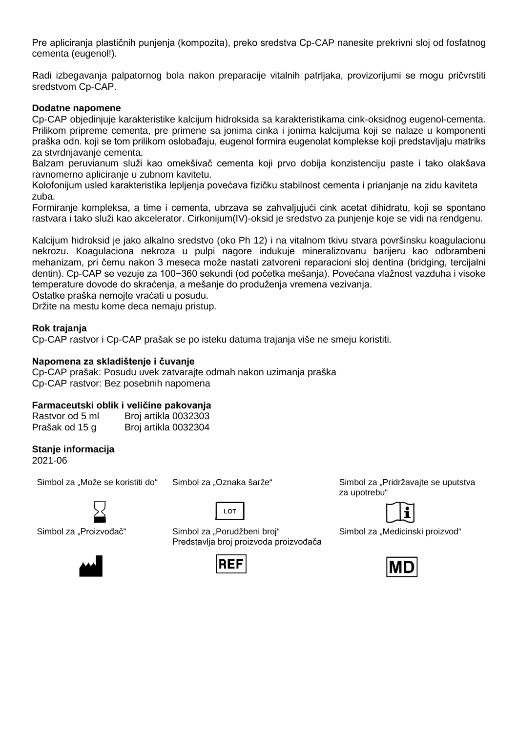Pre apliciranja plastičnih punjenja (kompozita), preko sredstva Cp-CAP nanesite prekrivni sloj od fosfatnog cementa (eugenol!).

Radi izbegavanja palpatornog bola nakon preparacije vitalnih patrljaka, provizorijumi se mogu pričvrstiti sredstvom Cp-CAP.

#### **Dodatne napomene**

Cp-CAP objedinjuje karakteristike kalcijum hidroksida sa karakteristikama cink-oksidnog eugenol-cementa. Prilikom pripreme cementa, pre primene sa jonima cinka i jonima kalcijuma koji se nalaze u komponenti praška odn. koji se tom prilikom oslobađaju, eugenol formira eugenolat komplekse koji predstavljaju matriks za stvrdnjavanje cementa.

Balzam peruvianum služi kao omekšivač cementa koji prvo dobija konzistenciju paste i tako olakšava ravnomerno apliciranje u zubnom kavitetu.

Kolofonijum usled karakteristika lepljenja povećava fizičku stabilnost cementa i prianjanje na zidu kaviteta zuba.

Formiranje kompleksa, a time i cementa, ubrzava se zahvaljujući cink acetat dihidratu, koji se spontano rastvara i tako služi kao akcelerator. Cirkonijum(IV)-oksid je sredstvo za punjenje koje se vidi na rendgenu.

Kalcijum hidroksid je jako alkalno sredstvo (oko Ph 12) i na vitalnom tkivu stvara površinsku koagulacionu nekrozu. Koagulaciona nekroza u pulpi nagore indukuje mineralizovanu barijeru kao odbrambeni mehanizam, pri čemu nakon 3 meseca može nastati zatvoreni reparacioni sloj dentina (bridging, tercijalni dentin). Cp-CAP se vezuje za 100−360 sekundi (od početka mešanja). Povećana vlažnost vazduha i visoke temperature dovode do skraćenja, a mešanje do produženja vremena vezivanja.

Ostatke praška nemojte vraćati u posudu.

Držite na mestu kome deca nemaju pristup.

#### **Rok trajanja**

Cp-CAP rastvor i Cp-CAP prašak se po isteku datuma trajanja više ne smeju koristiti.

#### **Napomena za skladištenje i čuvanje**

Cp-CAP prašak: Posudu uvek zatvarajte odmah nakon uzimanja praška Cp-CAP rastvor: Bez posebnih napomena

#### **Farmaceutski oblik i veličine pakovanja**

| Rastvor od 5 ml | Broj artikla 0032303 |
|-----------------|----------------------|
| Prašak od 15 g  | Broj artikla 0032304 |

#### **Stanje informacija**

2021-06

Simbol za "Može se koristiti do" Simbol za "Oznaka šarže" Simbol za "Pridržavajte se uputstva



 $10T$ 

Simbol za "Proizvođač" Simbol za "Porudžbeni broj"

Predstavlja broj proizvoda proizvođača



za upotrebu"



Simbol za "Medicinski proizvod"

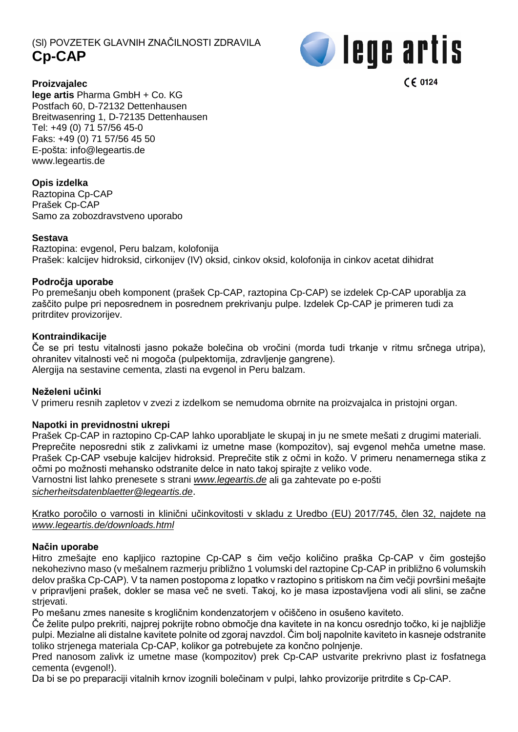# (Sl) POVZETEK GLAVNIH ZNAČILNOSTI ZDRAVILA **Cp-CAP**



 $C \in 0124$ 

**Proizvajalec**

**lege artis** Pharma GmbH + Co. KG Postfach 60, D-72132 Dettenhausen Breitwasenring 1, D-72135 Dettenhausen Tel: +49 (0) 71 57/56 45-0 Faks: +49 (0) 71 57/56 45 50 E-pošta: [info@legeartis.de](mailto:info@legeartis.de) www.legeartis.de

# **Opis izdelka**

Raztopina Cp-CAP Prašek Cp-CAP Samo za zobozdravstveno uporabo

# **Sestava**

Raztopina: evgenol, Peru balzam, kolofonija Prašek: kalcijev hidroksid, cirkonijev (IV) oksid, cinkov oksid, kolofonija in cinkov acetat dihidrat

# **Področja uporabe**

Po premešanju obeh komponent (prašek Cp-CAP, raztopina Cp-CAP) se izdelek Cp-CAP uporablja za zaščito pulpe pri neposrednem in posrednem prekrivanju pulpe. Izdelek Cp-CAP je primeren tudi za pritrditev provizorijev.

# **Kontraindikacije**

Če se pri testu vitalnosti jasno pokaže bolečina ob vročini (morda tudi trkanje v ritmu srčnega utripa), ohranitev vitalnosti več ni mogoča (pulpektomija, zdravljenje gangrene). Alergija na sestavine cementa, zlasti na evgenol in Peru balzam.

#### **Neželeni učinki**

V primeru resnih zapletov v zvezi z izdelkom se nemudoma obrnite na proizvajalca in pristojni organ.

#### **Napotki in previdnostni ukrepi**

Prašek Cp-CAP in raztopino Cp-CAP lahko uporabljate le skupaj in ju ne smete mešati z drugimi materiali. Preprečite neposredni stik z zalivkami iz umetne mase (kompozitov), saj evgenol mehča umetne mase. Prašek Cp-CAP vsebuje kalcijev hidroksid. Preprečite stik z očmi in kožo. V primeru nenamernega stika z očmi po možnosti mehansko odstranite delce in nato takoj spirajte z veliko vode. Varnostni list lahko prenesete s strani *[www.legeartis.de](http://www.legeartis.de/)* ali ga zahtevate po e-pošti *[sicherheitsdatenblaetter@legeartis.de](mailto:sicherheitsdatenblaetter@legeartis.de)*.

Kratko poročilo o varnosti in klinični učinkovitosti v skladu z Uredbo (EU) 2017/745, člen 32, najdete na *www.legeartis.de/downloads.html*

# **Način uporabe**

Hitro zmešajte eno kapljico raztopine Cp-CAP s čim večjo količino praška Cp-CAP v čim gostejšo nekohezivno maso (v mešalnem razmerju približno 1 volumski del raztopine Cp-CAP in približno 6 volumskih delov praška Cp-CAP). V ta namen postopoma z lopatko v raztopino s pritiskom na čim večji površini mešajte v pripravljeni prašek, dokler se masa več ne sveti. Takoj, ko je masa izpostavljena vodi ali slini, se začne strievati.

Po mešanu zmes nanesite s krogličnim kondenzatorjem v očiščeno in osušeno kaviteto.

Če želite pulpo prekriti, najprej pokrijte robno območje dna kavitete in na koncu osrednjo točko, ki je najbližje pulpi. Mezialne ali distalne kavitete polnite od zgoraj navzdol. Čim bolj napolnite kaviteto in kasneje odstranite toliko strjenega materiala Cp-CAP, kolikor ga potrebujete za končno polnjenje.

Pred nanosom zalivk iz umetne mase (kompozitov) prek Cp-CAP ustvarite prekrivno plast iz fosfatnega cementa (evgenol!).

Da bi se po preparaciji vitalnih krnov izognili bolečinam v pulpi, lahko provizorije pritrdite s Cp-CAP.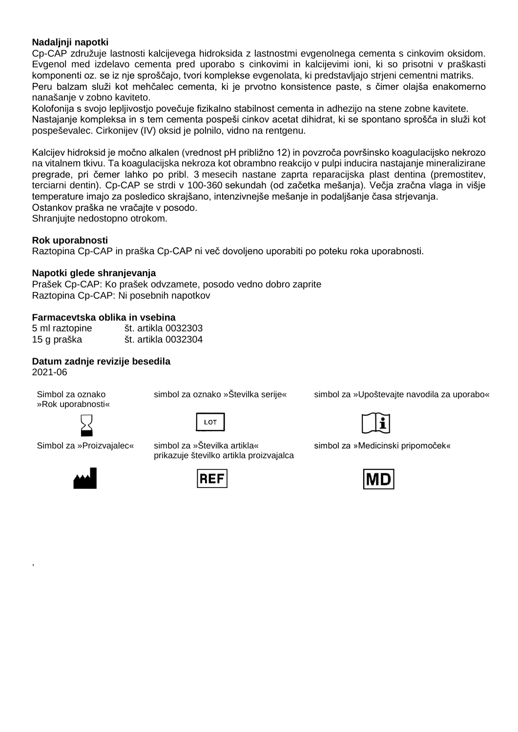# **Nadaljnji napotki**

Cp-CAP združuje lastnosti kalcijevega hidroksida z lastnostmi evgenolnega cementa s cinkovim oksidom. Evgenol med izdelavo cementa pred uporabo s cinkovimi in kalcijevimi ioni, ki so prisotni v praškasti komponenti oz. se iz nje sproščajo, tvori komplekse evgenolata, ki predstavljajo strjeni cementni matriks. Peru balzam služi kot mehčalec cementa, ki je prvotno konsistence paste, s čimer olajša enakomerno nanašanje v zobno kaviteto.

Kolofonija s svojo lepljivostjo povečuje fizikalno stabilnost cementa in adhezijo na stene zobne kavitete. Nastajanje kompleksa in s tem cementa pospeši cinkov acetat dihidrat, ki se spontano sprošča in služi kot pospeševalec. Cirkonijev (IV) oksid je polnilo, vidno na rentgenu.

Kalcijev hidroksid je močno alkalen (vrednost pH približno 12) in povzroča površinsko koagulacijsko nekrozo na vitalnem tkivu. Ta koagulacijska nekroza kot obrambno reakcijo v pulpi inducira nastajanje mineralizirane pregrade, pri čemer lahko po pribl. 3 mesecih nastane zaprta reparacijska plast dentina (premostitev, terciarni dentin). Cp-CAP se strdi v 100-360 sekundah (od začetka mešanja). Večja zračna vlaga in višje temperature imajo za posledico skrajšano, intenzivnejše mešanje in podaljšanje časa strjevanja. Ostankov praška ne vračajte v posodo.

Shranjujte nedostopno otrokom.

#### **Rok uporabnosti**

Raztopina Cp-CAP in praška Cp-CAP ni več dovoljeno uporabiti po poteku roka uporabnosti.

#### **Napotki glede shranjevanja**

Prašek Cp-CAP: Ko prašek odvzamete, posodo vedno dobro zaprite Raztopina Cp-CAP: Ni posebnih napotkov

#### **Farmacevtska oblika in vsebina**

| 5 ml raztopine | št. artikla 0032303 |
|----------------|---------------------|
| 15 g praška    | št. artikla 0032304 |

#### **Datum zadnje revizije besedila**

2021-06

,

Simbol za oznako »Rok uporabnosti«







Simbol za »Proizvajalec« simbol za »Številka artikla« prikazuje številko artikla proizvajalca



LOT





simbol za »Medicinski pripomoček«

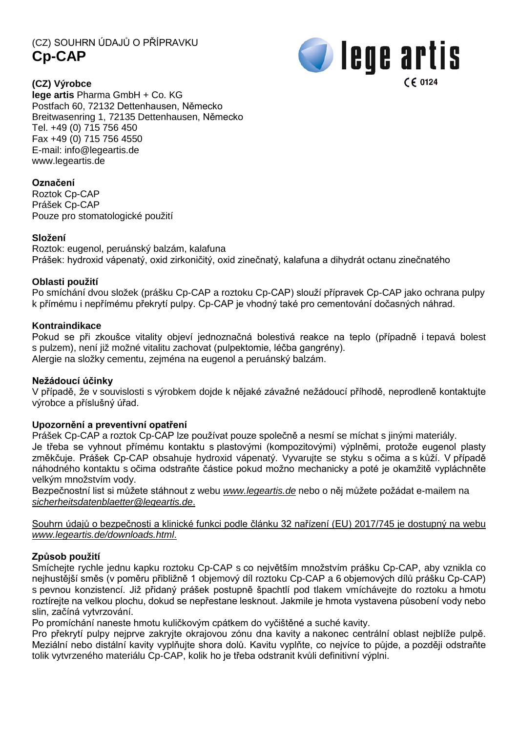(CZ) SOUHRN ÚDAJŮ O PŘÍPRAVKU **Cp-CAP**



**(CZ) Výrobce lege artis** Pharma GmbH + Co. KG Postfach 60, 72132 Dettenhausen, Německo Breitwasenring 1, 72135 Dettenhausen, Německo Tel. +49 (0) 715 756 450 Fax +49 (0) 715 756 4550 E-mail: [info@legeartis.de](mailto:info@legeartis.de) www.legeartis.de

# **Označení**

Roztok Cp-CAP Prášek Cp-CAP Pouze pro stomatologické použití

# **Složení**

Roztok: eugenol, peruánský balzám, kalafuna Prášek: hydroxid vápenatý, oxid zirkoničitý, oxid zinečnatý, kalafuna a dihydrát octanu zinečnatého

# **Oblasti použití**

Po smíchání dvou složek (prášku Cp-CAP a roztoku Cp-CAP) slouží přípravek Cp-CAP jako ochrana pulpy k přímému i nepřímému překrytí pulpy. Cp-CAP je vhodný také pro cementování dočasných náhrad.

# **Kontraindikace**

Pokud se při zkoušce vitality objeví jednoznačná bolestivá reakce na teplo (případně i tepavá bolest s pulzem), není již možné vitalitu zachovat (pulpektomie, léčba gangrény). Alergie na složky cementu, zejména na eugenol a peruánský balzám.

#### **Nežádoucí účinky**

V případě, že v souvislosti s výrobkem dojde k nějaké závažné nežádoucí příhodě, neprodleně kontaktujte výrobce a příslušný úřad.

#### **Upozornění a preventivní opatření**

Prášek Cp-CAP a roztok Cp-CAP lze používat pouze společně a nesmí se míchat s jinými materiály. Je třeba se vyhnout přímému kontaktu s plastovými (kompozitovými) výplněmi, protože eugenol plasty změkčuje. Prášek Cp-CAP obsahuje hydroxid vápenatý. Vyvarujte se styku s očima a s kůží. V případě náhodného kontaktu s očima odstraňte částice pokud možno mechanicky a poté je okamžitě vypláchněte velkým množstvím vody.

Bezpečnostní list si můžete stáhnout z webu *[www.legeartis.de](http://www.legeartis.de/)* nebo o něj můžete požádat e-mailem na *[sicherheitsdatenblaetter@legeartis.de](mailto:sicherheitsdatenblaetter@legeartis.de)*.

Souhrn údajů o bezpečnosti a klinické funkci podle článku 32 nařízení (EU) 2017/745 je dostupný na webu *www.legeartis.de/downloads.html*.

#### **Způsob použití**

Smíchejte rychle jednu kapku roztoku Cp-CAP s co největším množstvím prášku Cp-CAP, aby vznikla co nejhustější směs (v poměru přibližně 1 objemový díl roztoku Cp-CAP a 6 objemových dílů prášku Cp-CAP) s pevnou konzistencí. Již přidaný prášek postupně špachtlí pod tlakem vmíchávejte do roztoku a hmotu roztírejte na velkou plochu, dokud se nepřestane lesknout. Jakmile je hmota vystavena působení vody nebo slin, začíná vytvrzování.

Po promíchání naneste hmotu kuličkovým cpátkem do vyčištěné a suché kavity.

Pro překrytí pulpy nejprve zakryjte okrajovou zónu dna kavity a nakonec centrální oblast nejblíže pulpě. Meziální nebo distální kavity vyplňujte shora dolů. Kavitu vyplňte, co nejvíce to půjde, a později odstraňte tolik vytvrzeného materiálu Cp-CAP, kolik ho je třeba odstranit kvůli definitivní výplni.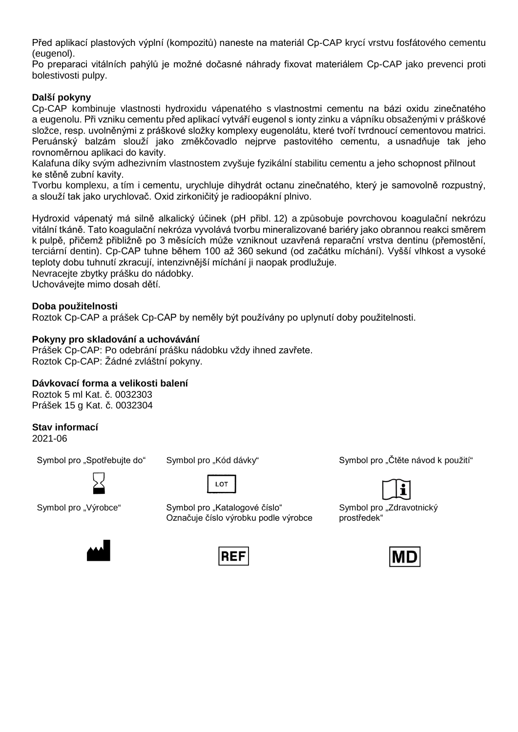Před aplikací plastových výplní (kompozitů) naneste na materiál Cp-CAP krycí vrstvu fosfátového cementu (eugenol).

Po preparaci vitálních pahýlů je možné dočasné náhrady fixovat materiálem Cp-CAP jako prevenci proti bolestivosti pulpy.

# **Další pokyny**

Cp-CAP kombinuje vlastnosti hydroxidu vápenatého s vlastnostmi cementu na bázi oxidu zinečnatého a eugenolu. Při vzniku cementu před aplikací vytváří eugenol s ionty zinku a vápníku obsaženými v práškové složce, resp. uvolněnými z práškové složky komplexy eugenolátu, které tvoří tvrdnoucí cementovou matrici. Peruánský balzám slouží jako změkčovadlo nejprve pastovitého cementu, a usnadňuje tak jeho rovnoměrnou aplikaci do kavity.

Kalafuna díky svým adhezivním vlastnostem zvyšuje fyzikální stabilitu cementu a jeho schopnost přilnout ke stěně zubní kavity.

Tvorbu komplexu, a tím i cementu, urychluje dihydrát octanu zinečnatého, který je samovolně rozpustný, a slouží tak jako urychlovač. Oxid zirkoničitý je radioopákní plnivo.

Hydroxid vápenatý má silně alkalický účinek (pH přibl. 12) a způsobuje povrchovou koagulační nekrózu vitální tkáně. Tato koagulační nekróza vyvolává tvorbu mineralizované bariéry jako obrannou reakci směrem k pulpě, přičemž přibližně po 3 měsících může vzniknout uzavřená reparační vrstva dentinu (přemostění, terciární dentin). Cp-CAP tuhne během 100 až 360 sekund (od začátku míchání). Vyšší vlhkost a vysoké teploty dobu tuhnutí zkracují, intenzivnější míchání ji naopak prodlužuje. Nevracejte zbytky prášku do nádobky.

Uchovávejte mimo dosah dětí.

# **Doba použitelnosti**

Roztok Cp-CAP a prášek Cp-CAP by neměly být používány po uplynutí doby použitelnosti.

#### **Pokyny pro skladování a uchovávání**

Prášek Cp-CAP: Po odebrání prášku nádobku vždy ihned zavřete. Roztok Cp-CAP: Žádné zvláštní pokyny.

# **Dávkovací forma a velikosti balení**

Roztok 5 ml Kat. č. 0032303 Prášek 15 g Kat. č. 0032304

#### **Stav informací**

2021-06



LOT

Symbol pro "Výrobce" Symbol pro "Katalogové číslo" Označuje číslo výrobku podle výrobce

Symbol pro "Spotřebujte do" Symbol pro "Kód dávky" Symbol pro "Symbol pro "Čtěte návod k použití"



Symbol pro "Zdravotnický prostředek"





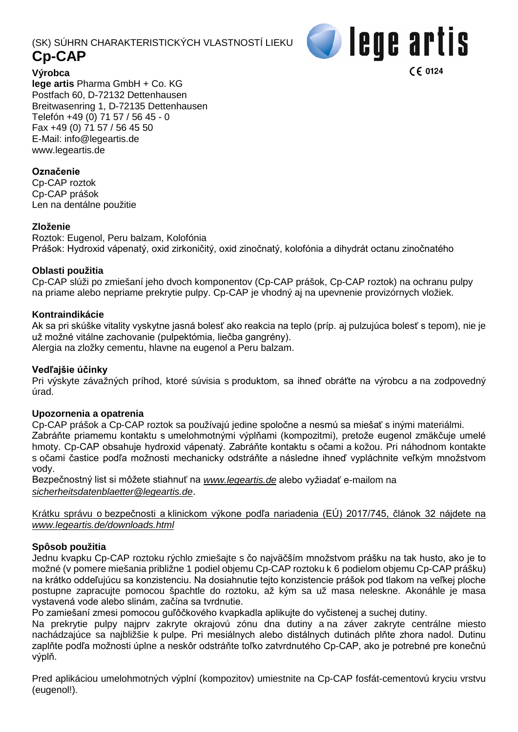# (SK) SÚHRN CHARAKTERISTICKÝCH VLASTNOSTÍ LIEKU **Cp-CAP**



**Výrobca lege artis** Pharma GmbH + Co. KG Postfach 60, D-72132 Dettenhausen Breitwasenring 1, D-72135 Dettenhausen Telefón +49 (0) 71 57 / 56 45 - 0 Fax +49 (0) 71 57 / 56 45 50 E-Mail: [info@legeartis.de](mailto:info@legeartis.de) www.legeartis.de

# **Označenie**

Cp-CAP roztok Cp-CAP prášok Len na dentálne použitie

# **Zloženie**

Roztok: Eugenol, Peru balzam, Kolofónia Prášok: Hydroxid vápenatý, oxid zirkoničitý, oxid zinočnatý, kolofónia a dihydrát octanu zinočnatého

# **Oblasti použitia**

Cp-CAP slúži po zmiešaní jeho dvoch komponentov (Cp-CAP prášok, Cp-CAP roztok) na ochranu pulpy na priame alebo nepriame prekrytie pulpy. Cp-CAP je vhodný aj na upevnenie provizórnych vložiek.

# **Kontraindikácie**

Ak sa pri skúške vitality vyskytne jasná bolesť ako reakcia na teplo (príp. aj pulzujúca bolesť s tepom), nie je už možné vitálne zachovanie (pulpektómia, liečba gangrény).

Alergia na zložky cementu, hlavne na eugenol a Peru balzam.

#### **Vedľajšie účinky**

Pri výskyte závažných príhod, ktoré súvisia s produktom, sa ihneď obráťte na výrobcu a na zodpovedný úrad.

#### **Upozornenia a opatrenia**

Cp-CAP prášok a Cp-CAP roztok sa používajú jedine spoločne a nesmú sa miešať s inými materiálmi. Zabráňte priamemu kontaktu s umelohmotnými výplňami (kompozitmi), pretože eugenol zmäkčuje umelé hmoty. Cp-CAP obsahuje hydroxid vápenatý. Zabráňte kontaktu s očami a kožou. Pri náhodnom kontakte s očami častice podľa možnosti mechanicky odstráňte a následne ihneď vypláchnite veľkým množstvom vody.

Bezpečnostný list si môžete stiahnuť na *[www.legeartis.de](http://www.legeartis.de/)* alebo vyžiadať e-mailom na *[sicherheitsdatenblaetter@legeartis.de](mailto:sicherheitsdatenblaetter@legeartis.de)*.

Krátku správu o bezpečnosti a klinickom výkone podľa nariadenia (EÚ) 2017/745, článok 32 nájdete na *www.legeartis.de/downloads.html*

#### **Spôsob použitia**

Jednu kvapku Cp-CAP roztoku rýchlo zmiešajte s čo najväčším množstvom prášku na tak husto, ako je to možné (v pomere miešania približne 1 podiel objemu Cp-CAP roztoku k 6 podielom objemu Cp-CAP prášku) na krátko oddeľujúcu sa konzistenciu. Na dosiahnutie tejto konzistencie prášok pod tlakom na veľkej ploche postupne zapracujte pomocou špachtle do roztoku, až kým sa už masa neleskne. Akonáhle je masa vystavená vode alebo slinám, začína sa tvrdnutie.

Po zamiešaní zmesi pomocou guľôčkového kvapkadla aplikujte do vyčistenej a suchej dutiny.

Na prekrytie pulpy najprv zakryte okrajovú zónu dna dutiny a na záver zakryte centrálne miesto nachádzajúce sa najbližšie k pulpe. Pri mesiálnych alebo distálnych dutinách plňte zhora nadol. Dutinu zaplňte podľa možnosti úplne a neskôr odstráňte toľko zatvrdnutého Cp-CAP, ako je potrebné pre konečnú výplň.

Pred aplikáciou umelohmotných výplní (kompozitov) umiestnite na Cp-CAP fosfát-cementovú kryciu vrstvu (eugenol!).